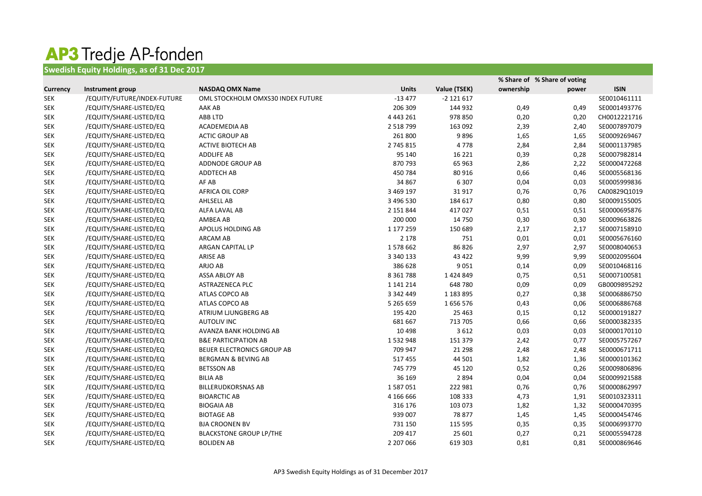## AP3 Tredje AP-fonden **Swedish Equity Holdings, as of 31 Dec 2017**

|                 |                             |                                   |               |               |           | % Share of % Share of voting |              |
|-----------------|-----------------------------|-----------------------------------|---------------|---------------|-----------|------------------------------|--------------|
| <b>Currency</b> | Instrument group            | <b>NASDAQ OMX Name</b>            | <b>Units</b>  | Value (TSEK)  | ownership | power                        | <b>ISIN</b>  |
| <b>SEK</b>      | /EQUITY/FUTURE/INDEX-FUTURE | OML STOCKHOLM OMXS30 INDEX FUTURE | $-13477$      | $-2$ 121 617  |           |                              | SE0010461111 |
| <b>SEK</b>      | /EQUITY/SHARE-LISTED/EQ     | AAK AB                            | 206 309       | 144 932       | 0,49      | 0,49                         | SE0001493776 |
| <b>SEK</b>      | /EQUITY/SHARE-LISTED/EQ     | ABB LTD                           | 4 4 4 3 2 6 1 | 978 850       | 0,20      | 0,20                         | CH0012221716 |
| <b>SEK</b>      | /EQUITY/SHARE-LISTED/EQ     | ACADEMEDIA AB                     | 2 5 18 7 99   | 163 092       | 2,39      | 2,40                         | SE0007897079 |
| <b>SEK</b>      | /EQUITY/SHARE-LISTED/EQ     | <b>ACTIC GROUP AB</b>             | 261 800       | 9896          | 1,65      | 1,65                         | SE0009269467 |
| <b>SEK</b>      | /EQUITY/SHARE-LISTED/EQ     | <b>ACTIVE BIOTECH AB</b>          | 2 745 815     | 4778          | 2,84      | 2,84                         | SE0001137985 |
| <b>SEK</b>      | /EQUITY/SHARE-LISTED/EQ     | <b>ADDLIFE AB</b>                 | 95 140        | 16 2 2 1      | 0,39      | 0,28                         | SE0007982814 |
| <b>SEK</b>      | /EQUITY/SHARE-LISTED/EQ     | ADDNODE GROUP AB                  | 870 793       | 65 963        | 2,86      | 2,22                         | SE0000472268 |
| <b>SEK</b>      | /EQUITY/SHARE-LISTED/EQ     | ADDTECH AB                        | 450 784       | 80 916        | 0,66      | 0,46                         | SE0005568136 |
| <b>SEK</b>      | /EQUITY/SHARE-LISTED/EQ     | AF AB                             | 34 867        | 6 3 0 7       | 0,04      | 0,03                         | SE0005999836 |
| <b>SEK</b>      | /EQUITY/SHARE-LISTED/EQ     | AFRICA OIL CORP                   | 3 469 197     | 31917         | 0,76      | 0,76                         | CA00829Q1019 |
| <b>SEK</b>      | /EQUITY/SHARE-LISTED/EQ     | AHLSELL AB                        | 3 496 530     | 184 617       | 0,80      | 0,80                         | SE0009155005 |
| <b>SEK</b>      | /EQUITY/SHARE-LISTED/EQ     | ALFA LAVAL AB                     | 2 151 844     | 417027        | 0,51      | 0,51                         | SE0000695876 |
| <b>SEK</b>      | /EQUITY/SHARE-LISTED/EQ     | AMBEA AB                          | 200 000       | 14 750        | 0,30      | 0,30                         | SE0009663826 |
| <b>SEK</b>      | /EQUITY/SHARE-LISTED/EQ     | APOLUS HOLDING AB                 | 1 177 259     | 150 689       | 2,17      | 2,17                         | SE0007158910 |
| SEK             | /EQUITY/SHARE-LISTED/EQ     | <b>ARCAM AB</b>                   | 2 1 7 8       | 751           | 0,01      | 0,01                         | SE0005676160 |
| <b>SEK</b>      | /EQUITY/SHARE-LISTED/EQ     | <b>ARGAN CAPITAL LP</b>           | 1578662       | 86 826        | 2,97      | 2,97                         | SE0008040653 |
| <b>SEK</b>      | /EQUITY/SHARE-LISTED/EQ     | ARISE AB                          | 3 340 133     | 43 4 22       | 9,99      | 9,99                         | SE0002095604 |
| <b>SEK</b>      | /EQUITY/SHARE-LISTED/EQ     | ARJO AB                           | 386 628       | 9 0 5 1       | 0,14      | 0,09                         | SE0010468116 |
| <b>SEK</b>      | /EQUITY/SHARE-LISTED/EQ     | ASSA ABLOY AB                     | 8 3 6 1 7 8 8 | 1424849       | 0,75      | 0,51                         | SE0007100581 |
| <b>SEK</b>      | /EQUITY/SHARE-LISTED/EQ     | <b>ASTRAZENECA PLC</b>            | 1 141 214     | 648 780       | 0,09      | 0,09                         | GB0009895292 |
| <b>SEK</b>      | /EQUITY/SHARE-LISTED/EQ     | ATLAS COPCO AB                    | 3 342 449     | 1 1 8 3 8 9 5 | 0,27      | 0,38                         | SE0006886750 |
| <b>SEK</b>      | /EQUITY/SHARE-LISTED/EQ     | ATLAS COPCO AB                    | 5 265 659     | 1656576       | 0,43      | 0,06                         | SE0006886768 |
| <b>SEK</b>      | /EQUITY/SHARE-LISTED/EQ     | ATRIUM LJUNGBERG AB               | 195 420       | 25 4 63       | 0,15      | 0,12                         | SE0000191827 |
| <b>SEK</b>      | /EQUITY/SHARE-LISTED/EQ     | <b>AUTOLIV INC</b>                | 681 667       | 713 705       | 0,66      | 0,66                         | SE0000382335 |
| <b>SEK</b>      | /EQUITY/SHARE-LISTED/EQ     | AVANZA BANK HOLDING AB            | 10 4 98       | 3612          | 0,03      | 0,03                         | SE0000170110 |
| <b>SEK</b>      | /EQUITY/SHARE-LISTED/EQ     | <b>B&amp;E PARTICIPATION AB</b>   | 1532948       | 151 379       | 2,42      | 0,77                         | SE0005757267 |
| <b>SEK</b>      | /EQUITY/SHARE-LISTED/EQ     | BEIJER ELECTRONICS GROUP AB       | 709 947       | 21 2 98       | 2,48      | 2,48                         | SE0000671711 |
| <b>SEK</b>      | /EQUITY/SHARE-LISTED/EQ     | BERGMAN & BEVING AB               | 517455        | 44 501        | 1,82      | 1,36                         | SE0000101362 |
| SEK             | /EQUITY/SHARE-LISTED/EQ     | <b>BETSSON AB</b>                 | 745 779       | 45 120        | 0,52      | 0,26                         | SE0009806896 |
| SEK             | /EQUITY/SHARE-LISTED/EQ     | <b>BILIA AB</b>                   | 36 169        | 2 8 9 4       | 0,04      | 0,04                         | SE0009921588 |
| <b>SEK</b>      | /EQUITY/SHARE-LISTED/EQ     | <b>BILLERUDKORSNAS AB</b>         | 1587051       | 222 981       | 0,76      | 0,76                         | SE0000862997 |
| SEK             | /EQUITY/SHARE-LISTED/EQ     | <b>BIOARCTIC AB</b>               | 4 166 666     | 108 333       | 4,73      | 1,91                         | SE0010323311 |
| SEK             | /EQUITY/SHARE-LISTED/EQ     | <b>BIOGAIA AB</b>                 | 316 176       | 103 073       | 1,82      | 1,32                         | SE0000470395 |
| SEK             | /EQUITY/SHARE-LISTED/EQ     | <b>BIOTAGE AB</b>                 | 939 007       | 78 877        | 1,45      | 1,45                         | SE0000454746 |
| <b>SEK</b>      | /EQUITY/SHARE-LISTED/EQ     | <b>BJA CROONEN BV</b>             | 731 150       | 115 595       | 0,35      | 0,35                         | SE0006993770 |
| SEK             | /EQUITY/SHARE-LISTED/EQ     | <b>BLACKSTONE GROUP LP/THE</b>    | 209 417       | 25 601        | 0,27      | 0,21                         | SE0005594728 |
| <b>SEK</b>      | /EQUITY/SHARE-LISTED/EQ     | <b>BOLIDEN AB</b>                 | 2 207 066     | 619 303       | 0,81      | 0,81                         | SE0000869646 |
|                 |                             |                                   |               |               |           |                              |              |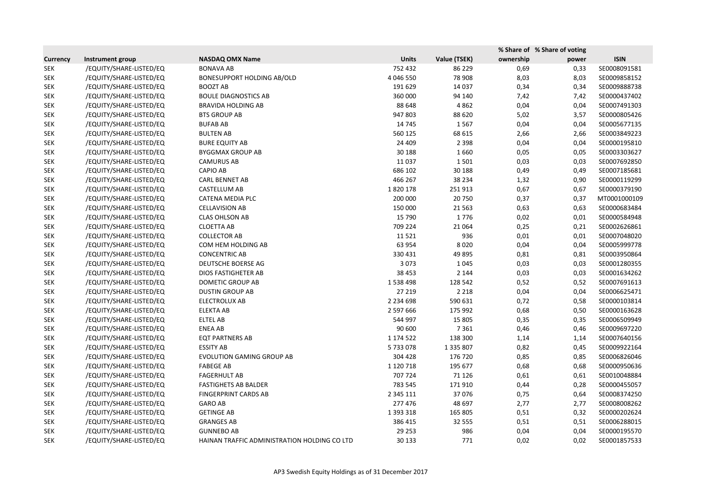|                 |                         |                                              |               |               |           | % Share of % Share of voting |              |
|-----------------|-------------------------|----------------------------------------------|---------------|---------------|-----------|------------------------------|--------------|
| <b>Currency</b> | Instrument group        | <b>NASDAQ OMX Name</b>                       | <b>Units</b>  | Value (TSEK)  | ownership | power                        | <b>ISIN</b>  |
| <b>SEK</b>      | /EQUITY/SHARE-LISTED/EQ | <b>BONAVA AB</b>                             | 752 432       | 86 229        | 0,69      | 0,33                         | SE0008091581 |
| <b>SEK</b>      | /EQUITY/SHARE-LISTED/EQ | <b>BONESUPPORT HOLDING AB/OLD</b>            | 4 046 550     | 78 908        | 8,03      | 8,03                         | SE0009858152 |
| <b>SEK</b>      | /EQUITY/SHARE-LISTED/EQ | <b>BOOZT AB</b>                              | 191 629       | 14 0 37       | 0,34      | 0,34                         | SE0009888738 |
| <b>SEK</b>      | /EQUITY/SHARE-LISTED/EQ | <b>BOULE DIAGNOSTICS AB</b>                  | 360 000       | 94 140        | 7,42      | 7,42                         | SE0000437402 |
| <b>SEK</b>      | /EQUITY/SHARE-LISTED/EQ | <b>BRAVIDA HOLDING AB</b>                    | 88 648        | 4 8 6 2       | 0,04      | 0,04                         | SE0007491303 |
| <b>SEK</b>      | /EQUITY/SHARE-LISTED/EQ | <b>BTS GROUP AB</b>                          | 947 803       | 88 6 20       | 5,02      | 3,57                         | SE0000805426 |
| <b>SEK</b>      | /EQUITY/SHARE-LISTED/EQ | <b>BUFAB AB</b>                              | 14 745        | 1567          | 0,04      | 0,04                         | SE0005677135 |
| <b>SEK</b>      | /EQUITY/SHARE-LISTED/EQ | <b>BULTEN AB</b>                             | 560 125       | 68 615        | 2,66      | 2,66                         | SE0003849223 |
| <b>SEK</b>      | /EQUITY/SHARE-LISTED/EQ | <b>BURE EQUITY AB</b>                        | 24 409        | 2 3 9 8       | 0,04      | 0,04                         | SE0000195810 |
| <b>SEK</b>      | /EQUITY/SHARE-LISTED/EQ | <b>BYGGMAX GROUP AB</b>                      | 30 188        | 1660          | 0,05      | 0,05                         | SE0003303627 |
| <b>SEK</b>      | /EQUITY/SHARE-LISTED/EQ | <b>CAMURUS AB</b>                            | 11 0 37       | 1501          | 0,03      | 0,03                         | SE0007692850 |
| <b>SEK</b>      | /EQUITY/SHARE-LISTED/EQ | <b>CAPIO AB</b>                              | 686 102       | 30 188        | 0,49      | 0,49                         | SE0007185681 |
| <b>SEK</b>      | /EQUITY/SHARE-LISTED/EQ | <b>CARL BENNET AB</b>                        | 466 267       | 38 2 34       | 1,32      | 0,90                         | SE0000119299 |
| <b>SEK</b>      | /EQUITY/SHARE-LISTED/EQ | CASTELLUM AB                                 | 1820178       | 251913        | 0,67      | 0,67                         | SE0000379190 |
| <b>SEK</b>      | /EQUITY/SHARE-LISTED/EQ | CATENA MEDIA PLC                             | 200 000       | 20 750        | 0,37      | 0,37                         | MT0001000109 |
| <b>SEK</b>      | /EQUITY/SHARE-LISTED/EQ | <b>CELLAVISION AB</b>                        | 150 000       | 21 5 63       | 0,63      | 0,63                         | SE0000683484 |
| <b>SEK</b>      | /EQUITY/SHARE-LISTED/EQ | <b>CLAS OHLSON AB</b>                        | 15 790        | 1776          | 0,02      | 0,01                         | SE0000584948 |
| <b>SEK</b>      | /EQUITY/SHARE-LISTED/EQ | <b>CLOETTA AB</b>                            | 709 224       | 21 0 64       | 0,25      | 0,21                         | SE0002626861 |
| <b>SEK</b>      | /EQUITY/SHARE-LISTED/EQ | <b>COLLECTOR AB</b>                          | 11521         | 936           | 0,01      | 0,01                         | SE0007048020 |
| <b>SEK</b>      | /EQUITY/SHARE-LISTED/EQ | COM HEM HOLDING AB                           | 63 954        | 8 0 2 0       | 0,04      | 0,04                         | SE0005999778 |
| <b>SEK</b>      | /EQUITY/SHARE-LISTED/EQ | <b>CONCENTRIC AB</b>                         | 330 431       | 49 8 95       | 0,81      | 0,81                         | SE0003950864 |
| <b>SEK</b>      | /EQUITY/SHARE-LISTED/EQ | <b>DEUTSCHE BOERSE AG</b>                    | 3 0 7 3       | 1 0 4 5       | 0,03      | 0,03                         | SE0001280355 |
| <b>SEK</b>      | /EQUITY/SHARE-LISTED/EQ | <b>DIOS FASTIGHETER AB</b>                   | 38 4 53       | 2 1 4 4       | 0,03      | 0,03                         | SE0001634262 |
| <b>SEK</b>      | /EQUITY/SHARE-LISTED/EQ | DOMETIC GROUP AB                             | 1538498       | 128 542       | 0,52      | 0,52                         | SE0007691613 |
| <b>SEK</b>      | /EQUITY/SHARE-LISTED/EQ | <b>DUSTIN GROUP AB</b>                       | 27 219        | 2 2 1 8       | 0,04      | 0,04                         | SE0006625471 |
| <b>SEK</b>      | /EQUITY/SHARE-LISTED/EQ | <b>ELECTROLUX AB</b>                         | 2 2 3 4 6 9 8 | 590 631       | 0,72      | 0,58                         | SE0000103814 |
| <b>SEK</b>      | /EQUITY/SHARE-LISTED/EQ | <b>ELEKTA AB</b>                             | 2 597 666     | 175 992       | 0,68      | 0,50                         | SE0000163628 |
| <b>SEK</b>      | /EQUITY/SHARE-LISTED/EQ | <b>ELTEL AB</b>                              | 544 997       | 15 805        | 0,35      | 0,35                         | SE0006509949 |
| <b>SEK</b>      | /EQUITY/SHARE-LISTED/EQ | <b>ENEA AB</b>                               | 90 600        | 7 3 6 1       | 0,46      | 0,46                         | SE0009697220 |
| <b>SEK</b>      | /EQUITY/SHARE-LISTED/EQ | <b>EQT PARTNERS AB</b>                       | 1 174 522     | 138 300       | 1,14      | 1,14                         | SE0007640156 |
| SEK             | /EQUITY/SHARE-LISTED/EQ | <b>ESSITY AB</b>                             | 5733078       | 1 3 3 5 8 0 7 | 0,82      | 0,45                         | SE0009922164 |
| <b>SEK</b>      | /EQUITY/SHARE-LISTED/EQ | <b>EVOLUTION GAMING GROUP AB</b>             | 304 428       | 176 720       | 0,85      | 0,85                         | SE0006826046 |
| <b>SEK</b>      | /EQUITY/SHARE-LISTED/EQ | <b>FABEGE AB</b>                             | 1 1 2 0 7 1 8 | 195 677       | 0,68      | 0,68                         | SE0000950636 |
| <b>SEK</b>      | /EQUITY/SHARE-LISTED/EQ | <b>FAGERHULT AB</b>                          | 707 724       | 71 1 26       | 0,61      | 0,61                         | SE0010048884 |
| <b>SEK</b>      | /EQUITY/SHARE-LISTED/EQ | <b>FASTIGHETS AB BALDER</b>                  | 783 545       | 171910        | 0,44      | 0,28                         | SE0000455057 |
| SEK             | /EQUITY/SHARE-LISTED/EQ | <b>FINGERPRINT CARDS AB</b>                  | 2 3 4 5 1 1 1 | 37076         | 0,75      | 0,64                         | SE0008374250 |
| <b>SEK</b>      | /EQUITY/SHARE-LISTED/EQ | <b>GARO AB</b>                               | 277 476       | 48 697        | 2,77      | 2,77                         | SE0008008262 |
| SEK             | /EQUITY/SHARE-LISTED/EQ | <b>GETINGE AB</b>                            | 1 393 318     | 165 805       | 0,51      | 0,32                         | SE0000202624 |
| SEK             | /EQUITY/SHARE-LISTED/EQ | <b>GRANGES AB</b>                            | 386 415       | 32 555        | 0,51      | 0,51                         | SE0006288015 |
| <b>SEK</b>      | /EQUITY/SHARE-LISTED/EQ | <b>GUNNEBO AB</b>                            | 29 253        | 986           | 0,04      | 0,04                         | SE0000195570 |
| SEK             | /EQUITY/SHARE-LISTED/EQ | HAINAN TRAFFIC ADMINISTRATION HOLDING CO LTD | 30 133        | 771           | 0,02      | 0,02                         | SE0001857533 |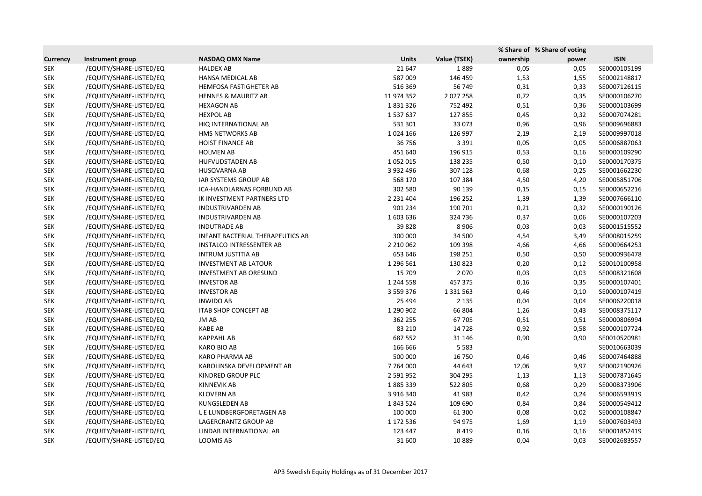|                 |                         |                                         |               |               | % Share of % Share of voting |       |              |
|-----------------|-------------------------|-----------------------------------------|---------------|---------------|------------------------------|-------|--------------|
| <b>Currency</b> | Instrument group        | <b>NASDAQ OMX Name</b>                  | <b>Units</b>  | Value (TSEK)  | ownership                    | power | <b>ISIN</b>  |
| <b>SEK</b>      | /EQUITY/SHARE-LISTED/EQ | <b>HALDEX AB</b>                        | 21 647        | 1889          | 0,05                         | 0,05  | SE0000105199 |
| <b>SEK</b>      | /EQUITY/SHARE-LISTED/EQ | HANSA MEDICAL AB                        | 587 009       | 146 459       | 1,53                         | 1,55  | SE0002148817 |
| <b>SEK</b>      | /EQUITY/SHARE-LISTED/EQ | <b>HEMFOSA FASTIGHETER AB</b>           | 516 369       | 56 749        | 0,31                         | 0,33  | SE0007126115 |
| <b>SEK</b>      | /EQUITY/SHARE-LISTED/EQ | <b>HENNES &amp; MAURITZ AB</b>          | 11 974 352    | 2 0 2 7 2 5 8 | 0,72                         | 0,35  | SE0000106270 |
| <b>SEK</b>      | /EQUITY/SHARE-LISTED/EQ | <b>HEXAGON AB</b>                       | 1831326       | 752 492       | 0,51                         | 0,36  | SE0000103699 |
| SEK             | /EQUITY/SHARE-LISTED/EQ | <b>HEXPOL AB</b>                        | 1537637       | 127855        | 0,45                         | 0,32  | SE0007074281 |
| <b>SEK</b>      | /EQUITY/SHARE-LISTED/EQ | HIQ INTERNATIONAL AB                    | 531 301       | 33 073        | 0,96                         | 0,96  | SE0009696883 |
| <b>SEK</b>      | /EQUITY/SHARE-LISTED/EQ | HMS NETWORKS AB                         | 1024 166      | 126 997       | 2,19                         | 2,19  | SE0009997018 |
| <b>SEK</b>      | /EQUITY/SHARE-LISTED/EQ | <b>HOIST FINANCE AB</b>                 | 36 756        | 3 3 9 1       | 0,05                         | 0,05  | SE0006887063 |
| <b>SEK</b>      | /EQUITY/SHARE-LISTED/EQ | <b>HOLMEN AB</b>                        | 451 640       | 196 915       | 0,53                         | 0,16  | SE0000109290 |
| SEK             | /EQUITY/SHARE-LISTED/EQ | HUFVUDSTADEN AB                         | 1052015       | 138 235       | 0,50                         | 0,10  | SE0000170375 |
| <b>SEK</b>      | /EQUITY/SHARE-LISTED/EQ | <b>HUSQVARNA AB</b>                     | 3 9 3 2 4 9 6 | 307 128       | 0,68                         | 0,25  | SE0001662230 |
| <b>SEK</b>      | /EQUITY/SHARE-LISTED/EQ | IAR SYSTEMS GROUP AB                    | 568 170       | 107 384       | 4,50                         | 4,20  | SE0005851706 |
| <b>SEK</b>      | /EQUITY/SHARE-LISTED/EQ | ICA-HANDLARNAS FORBUND AB               | 302 580       | 90 139        | 0,15                         | 0,15  | SE0000652216 |
| <b>SEK</b>      | /EQUITY/SHARE-LISTED/EQ | IK INVESTMENT PARTNERS LTD              | 2 2 3 1 4 0 4 | 196 252       | 1,39                         | 1,39  | SE0007666110 |
| SEK             | /EQUITY/SHARE-LISTED/EQ | <b>INDUSTRIVARDEN AB</b>                | 901 234       | 190 701       | 0,21                         | 0,32  | SE0000190126 |
| <b>SEK</b>      | /EQUITY/SHARE-LISTED/EQ | <b>INDUSTRIVARDEN AB</b>                | 1603636       | 324 736       | 0,37                         | 0,06  | SE0000107203 |
| <b>SEK</b>      | /EQUITY/SHARE-LISTED/EQ | <b>INDUTRADE AB</b>                     | 39828         | 8 9 0 6       | 0,03                         | 0,03  | SE0001515552 |
| <b>SEK</b>      | /EQUITY/SHARE-LISTED/EQ | <b>INFANT BACTERIAL THERAPEUTICS AB</b> | 300 000       | 34 500        | 4,54                         | 3,49  | SE0008015259 |
| <b>SEK</b>      | /EQUITY/SHARE-LISTED/EQ | <b>INSTALCO INTRESSENTER AB</b>         | 2 2 10 0 6 2  | 109 398       | 4,66                         | 4,66  | SE0009664253 |
| <b>SEK</b>      | /EQUITY/SHARE-LISTED/EQ | <b>INTRUM JUSTITIA AB</b>               | 653 646       | 198 251       | 0,50                         | 0,50  | SE0000936478 |
| <b>SEK</b>      | /EQUITY/SHARE-LISTED/EQ | <b>INVESTMENT AB LATOUR</b>             | 1 296 561     | 130 823       | 0,20                         | 0,12  | SE0010100958 |
| SEK             | /EQUITY/SHARE-LISTED/EQ | <b>INVESTMENT AB ORESUND</b>            | 15 709        | 2070          | 0,03                         | 0,03  | SE0008321608 |
| <b>SEK</b>      | /EQUITY/SHARE-LISTED/EQ | <b>INVESTOR AB</b>                      | 1 244 558     | 457 375       | 0,16                         | 0,35  | SE0000107401 |
| <b>SEK</b>      | /EQUITY/SHARE-LISTED/EQ | <b>INVESTOR AB</b>                      | 3 5 5 9 3 7 6 | 1 3 3 1 5 6 3 | 0,46                         | 0,10  | SE0000107419 |
| <b>SEK</b>      | /EQUITY/SHARE-LISTED/EQ | <b>INWIDO AB</b>                        | 25 4 94       | 2 1 3 5       | 0,04                         | 0,04  | SE0006220018 |
| <b>SEK</b>      | /EQUITY/SHARE-LISTED/EQ | <b>ITAB SHOP CONCEPT AB</b>             | 1 290 902     | 66 804        | 1,26                         | 0,43  | SE0008375117 |
| <b>SEK</b>      | /EQUITY/SHARE-LISTED/EQ | JM AB                                   | 362 255       | 67 705        | 0,51                         | 0,51  | SE0000806994 |
| <b>SEK</b>      | /EQUITY/SHARE-LISTED/EQ | <b>KABE AB</b>                          | 83 210        | 14 7 28       | 0,92                         | 0,58  | SE0000107724 |
| <b>SEK</b>      | /EQUITY/SHARE-LISTED/EQ | <b>KAPPAHL AB</b>                       | 687 552       | 31 146        | 0,90                         | 0,90  | SE0010520981 |
| <b>SEK</b>      | /EQUITY/SHARE-LISTED/EQ | <b>KARO BIO AB</b>                      | 166 666       | 5 5 8 3       |                              |       | SE0010663039 |
| <b>SEK</b>      | /EQUITY/SHARE-LISTED/EQ | KARO PHARMA AB                          | 500 000       | 16 750        | 0,46                         | 0,46  | SE0007464888 |
| <b>SEK</b>      | /EQUITY/SHARE-LISTED/EQ | KAROLINSKA DEVELOPMENT AB               | 7 7 64 000    | 44 643        | 12,06                        | 9,97  | SE0002190926 |
| <b>SEK</b>      | /EQUITY/SHARE-LISTED/EQ | KINDRED GROUP PLC                       | 2 591 952     | 304 295       | 1,13                         | 1,13  | SE0007871645 |
| <b>SEK</b>      | /EQUITY/SHARE-LISTED/EQ | <b>KINNEVIK AB</b>                      | 1885339       | 522 805       | 0,68                         | 0,29  | SE0008373906 |
| <b>SEK</b>      | /EQUITY/SHARE-LISTED/EQ | <b>KLOVERN AB</b>                       | 3 916 340     | 41 983        | 0,42                         | 0,24  | SE0006593919 |
| <b>SEK</b>      | /EQUITY/SHARE-LISTED/EQ | KUNGSLEDEN AB                           | 1843524       | 109 690       | 0,84                         | 0,84  | SE0000549412 |
| <b>SEK</b>      | /EQUITY/SHARE-LISTED/EQ | L E LUNDBERGFORETAGEN AB                | 100 000       | 61 300        | 0,08                         | 0,02  | SE0000108847 |
| <b>SEK</b>      | /EQUITY/SHARE-LISTED/EQ | LAGERCRANTZ GROUP AB                    | 1 172 536     | 94 975        | 1,69                         | 1,19  | SE0007603493 |
| <b>SEK</b>      | /EQUITY/SHARE-LISTED/EQ | LINDAB INTERNATIONAL AB                 | 123 447       | 8 4 1 9       | 0,16                         | 0,16  | SE0001852419 |
| SEK             | /EQUITY/SHARE-LISTED/EQ | LOOMIS AB                               | 31 600        | 10889         | 0,04                         | 0,03  | SE0002683557 |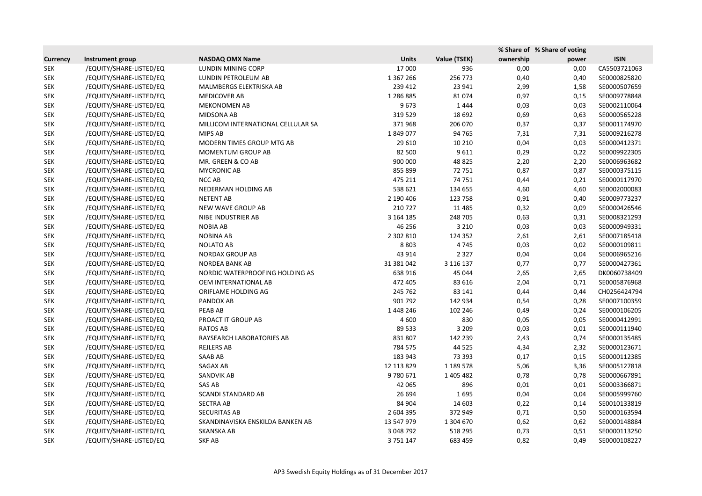|                 |                         |                                    |               |              | % Share of % Share of voting |       |              |
|-----------------|-------------------------|------------------------------------|---------------|--------------|------------------------------|-------|--------------|
| <b>Currency</b> | <b>Instrument group</b> | <b>NASDAQ OMX Name</b>             | <b>Units</b>  | Value (TSEK) | ownership                    | power | <b>ISIN</b>  |
| <b>SEK</b>      | /EQUITY/SHARE-LISTED/EQ | LUNDIN MINING CORP                 | 17 000        | 936          | 0,00                         | 0,00  | CA5503721063 |
| <b>SEK</b>      | /EQUITY/SHARE-LISTED/EQ | LUNDIN PETROLEUM AB                | 1 367 266     | 256 773      | 0,40                         | 0,40  | SE0000825820 |
| <b>SEK</b>      | /EQUITY/SHARE-LISTED/EQ | MALMBERGS ELEKTRISKA AB            | 239 412       | 23 941       | 2,99                         | 1,58  | SE0000507659 |
| <b>SEK</b>      | /EQUITY/SHARE-LISTED/EQ | <b>MEDICOVER AB</b>                | 1 2 8 6 8 8 5 | 81074        | 0,97                         | 0,15  | SE0009778848 |
| <b>SEK</b>      | /EQUITY/SHARE-LISTED/EQ | <b>MEKONOMEN AB</b>                | 9673          | 1444         | 0,03                         | 0,03  | SE0002110064 |
| <b>SEK</b>      | /EQUITY/SHARE-LISTED/EQ | MIDSONA AB                         | 319 529       | 18 692       | 0,69                         | 0,63  | SE0000565228 |
| <b>SEK</b>      | /EQUITY/SHARE-LISTED/EQ | MILLICOM INTERNATIONAL CELLULAR SA | 371968        | 206 070      | 0,37                         | 0,37  | SE0001174970 |
| <b>SEK</b>      | /EQUITY/SHARE-LISTED/EQ | MIPS AB                            | 1849077       | 94 765       | 7,31                         | 7,31  | SE0009216278 |
| <b>SEK</b>      | /EQUITY/SHARE-LISTED/EQ | MODERN TIMES GROUP MTG AB          | 29 6 10       | 10 210       | 0,04                         | 0,03  | SE0000412371 |
| <b>SEK</b>      | /EQUITY/SHARE-LISTED/EQ | MOMENTUM GROUP AB                  | 82 500        | 9611         | 0,29                         | 0,22  | SE0009922305 |
| <b>SEK</b>      | /EQUITY/SHARE-LISTED/EQ | MR. GREEN & CO AB                  | 900 000       | 48 8 25      | 2,20                         | 2,20  | SE0006963682 |
| <b>SEK</b>      | /EQUITY/SHARE-LISTED/EQ | <b>MYCRONIC AB</b>                 | 855 899       | 72 751       | 0,87                         | 0,87  | SE0000375115 |
| <b>SEK</b>      | /EQUITY/SHARE-LISTED/EQ | NCC AB                             | 475 211       | 74 751       | 0,44                         | 0,21  | SE0000117970 |
| <b>SEK</b>      | /EQUITY/SHARE-LISTED/EQ | NEDERMAN HOLDING AB                | 538 621       | 134 655      | 4,60                         | 4,60  | SE0002000083 |
| <b>SEK</b>      | /EQUITY/SHARE-LISTED/EQ | <b>NETENT AB</b>                   | 2 190 406     | 123 758      | 0,91                         | 0,40  | SE0009773237 |
| <b>SEK</b>      | /EQUITY/SHARE-LISTED/EQ | NEW WAVE GROUP AB                  | 210 727       | 11 4 8 5     | 0,32                         | 0,09  | SE0000426546 |
| <b>SEK</b>      | /EQUITY/SHARE-LISTED/EQ | NIBE INDUSTRIER AB                 | 3 164 185     | 248 705      | 0,63                         | 0,31  | SE0008321293 |
| <b>SEK</b>      | /EQUITY/SHARE-LISTED/EQ | <b>NOBIA AB</b>                    | 46 256        | 3 2 1 0      | 0,03                         | 0,03  | SE0000949331 |
| <b>SEK</b>      | /EQUITY/SHARE-LISTED/EQ | <b>NOBINA AB</b>                   | 2 302 810     | 124 352      | 2,61                         | 2,61  | SE0007185418 |
| <b>SEK</b>      | /EQUITY/SHARE-LISTED/EQ | <b>NOLATO AB</b>                   | 8 8 0 3       | 4745         | 0,03                         | 0,02  | SE0000109811 |
| <b>SEK</b>      | /EQUITY/SHARE-LISTED/EQ | <b>NORDAX GROUP AB</b>             | 43 914        | 2 3 2 7      | 0,04                         | 0,04  | SE0006965216 |
| <b>SEK</b>      | /EQUITY/SHARE-LISTED/EQ | NORDEA BANK AB                     | 31 381 042    | 3 116 137    | 0,77                         | 0,77  | SE0000427361 |
| <b>SEK</b>      | /EQUITY/SHARE-LISTED/EQ | NORDIC WATERPROOFING HOLDING AS    | 638 916       | 45 044       | 2,65                         | 2,65  | DK0060738409 |
| <b>SEK</b>      | /EQUITY/SHARE-LISTED/EQ | OEM INTERNATIONAL AB               | 472 405       | 83 616       | 2,04                         | 0,71  | SE0005876968 |
| <b>SEK</b>      | /EQUITY/SHARE-LISTED/EQ | ORIFLAME HOLDING AG                | 245 762       | 83 141       | 0,44                         | 0,44  | CH0256424794 |
| <b>SEK</b>      | /EQUITY/SHARE-LISTED/EQ | PANDOX AB                          | 901 792       | 142 934      | 0,54                         | 0,28  | SE0007100359 |
| <b>SEK</b>      | /EQUITY/SHARE-LISTED/EQ | PEAB AB                            | 1448246       | 102 246      | 0,49                         | 0,24  | SE0000106205 |
| <b>SEK</b>      | /EQUITY/SHARE-LISTED/EQ | PROACT IT GROUP AB                 | 4 600         | 830          | 0,05                         | 0,05  | SE0000412991 |
| <b>SEK</b>      | /EQUITY/SHARE-LISTED/EQ | <b>RATOS AB</b>                    | 89 533        | 3 2 0 9      | 0,03                         | 0,01  | SE0000111940 |
| <b>SEK</b>      | /EQUITY/SHARE-LISTED/EQ | RAYSEARCH LABORATORIES AB          | 831 807       | 142 239      | 2,43                         | 0,74  | SE0000135485 |
| <b>SEK</b>      | /EQUITY/SHARE-LISTED/EQ | <b>REJLERS AB</b>                  | 784 575       | 44 5 25      | 4,34                         | 2,32  | SE0000123671 |
| <b>SEK</b>      | /EQUITY/SHARE-LISTED/EQ | SAAB AB                            | 183 943       | 73 393       | 0,17                         | 0,15  | SE0000112385 |
| <b>SEK</b>      | /EQUITY/SHARE-LISTED/EQ | SAGAX AB                           | 12 113 829    | 1 189 578    | 5,06                         | 3,36  | SE0005127818 |
| <b>SEK</b>      | /EQUITY/SHARE-LISTED/EQ | SANDVIK AB                         | 9780671       | 1 405 482    | 0,78                         | 0,78  | SE0000667891 |
| <b>SEK</b>      | /EQUITY/SHARE-LISTED/EQ | SAS AB                             | 42 065        | 896          | 0,01                         | 0,01  | SE0003366871 |
| <b>SEK</b>      | /EQUITY/SHARE-LISTED/EQ | <b>SCANDI STANDARD AB</b>          | 26 694        | 1695         | 0,04                         | 0,04  | SE0005999760 |
| <b>SEK</b>      | /EQUITY/SHARE-LISTED/EQ | <b>SECTRA AB</b>                   | 84 904        | 14 603       | 0,22                         | 0,14  | SE0010133819 |
| <b>SEK</b>      | /EQUITY/SHARE-LISTED/EQ | <b>SECURITAS AB</b>                | 2 604 395     | 372 949      | 0,71                         | 0,50  | SE0000163594 |
| <b>SEK</b>      | /EQUITY/SHARE-LISTED/EQ | SKANDINAVISKA ENSKILDA BANKEN AB   | 13 547 979    | 1 304 670    | 0,62                         | 0,62  | SE0000148884 |
| <b>SEK</b>      | /EQUITY/SHARE-LISTED/EQ | <b>SKANSKA AB</b>                  | 3 048 792     | 518 295      | 0,73                         | 0,51  | SE0000113250 |
| <b>SEK</b>      | /EQUITY/SHARE-LISTED/EQ | SKF AB                             | 3751147       | 683 459      | 0,82                         | 0,49  | SE0000108227 |